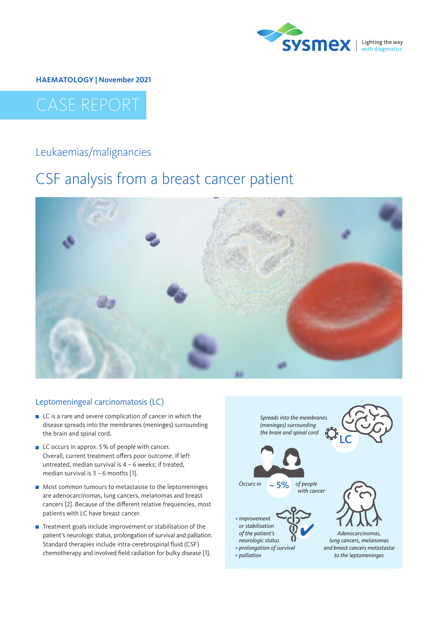

**HAEMATOLOGY | November 2021**

# CASE REPORT

### Leukaemias/malignancies

## CSF analysis from a breast cancer patient



#### Leptomeningeal carcinomatosis (LC)

- LC is a rare and severe complication of cancer in which the disease spreads into the membranes (meninges) surrounding the brain and spinal cord.
- LC occurs in approx. 5% of people with cancer. Overall, current treatment offers poor outcome. If left untreated, median survival is 4 – 6 weeks; if treated, median survival is  $3 - 6$  months [1].
- **Most common tumours to metastasise to the leptomeninges** are adenocarcinomas, lung cancers, melanomas and breast cancers [2]. Because of the different relative frequencies, most patients with LC have breast cancer.
- Treatment goals include improvement or stabilisation of the patient's neurologic status, prolongation of survival and palliation. Standard therapies include intra-cerebrospinal fluid (CSF) chemotherapy and involved field radiation for bulky disease [1].